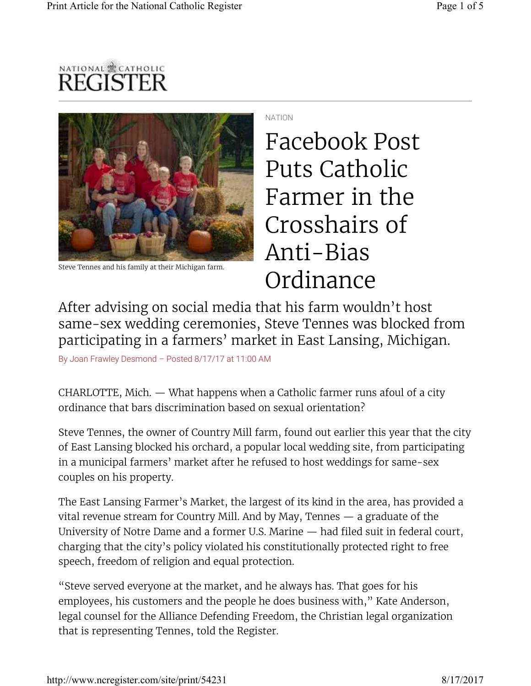



Steve Tennes and his family at their Michigan farm.

NATION

Facebook Post Puts Catholic Farmer in the Crosshairs of Anti-Bias Ordinance

After advising on social media that his farm wouldn't host same-sex wedding ceremonies, Steve Tennes was blocked from participating in a farmers' market in East Lansing, Michigan.

By Joan Frawley Desmond – Posted 8/17/17 at 11:00 AM

CHARLOTTE, Mich. — What happens when a Catholic farmer runs afoul of a city ordinance that bars discrimination based on sexual orientation?

Steve Tennes, the owner of Country Mill farm, found out earlier this year that the city of East Lansing blocked his orchard, a popular local wedding site, from participating in a municipal farmers' market after he refused to host weddings for same-sex couples on his property.

The East Lansing Farmer's Market, the largest of its kind in the area, has provided a vital revenue stream for Country Mill. And by May, Tennes — a graduate of the University of Notre Dame and a former U.S. Marine — had filed suit in federal court, charging that the city's policy violated his constitutionally protected right to free speech, freedom of religion and equal protection.

"Steve served everyone at the market, and he always has. That goes for his employees, his customers and the people he does business with," Kate Anderson, legal counsel for the Alliance Defending Freedom, the Christian legal organization that is representing Tennes, told the Register.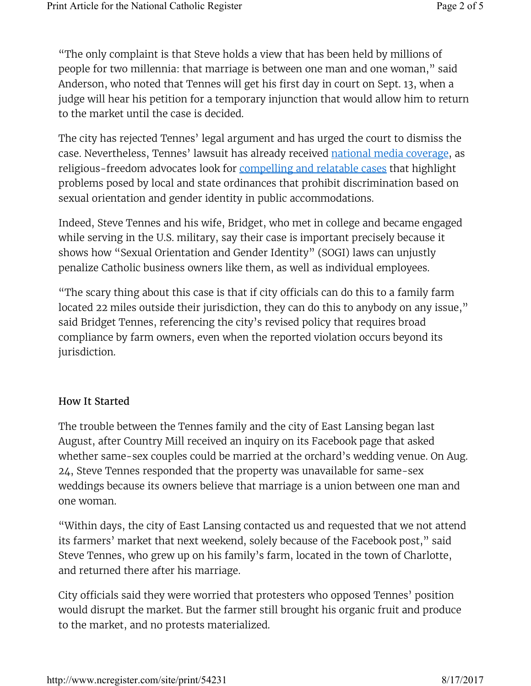"The only complaint is that Steve holds a view that has been held by millions of people for two millennia: that marriage is between one man and one woman," said Anderson, who noted that Tennes will get his first day in court on Sept. 13, when a judge will hear his petition for a temporary injunction that would allow him to return to the market until the case is decided.

The city has rejected Tennes' legal argument and has urged the court to dismiss the case. Nevertheless, Tennes' lawsuit has already received national media coverage, as religious-freedom advocates look for compelling and relatable cases that highlight problems posed by local and state ordinances that prohibit discrimination based on sexual orientation and gender identity in public accommodations.

Indeed, Steve Tennes and his wife, Bridget, who met in college and became engaged while serving in the U.S. military, say their case is important precisely because it shows how "Sexual Orientation and Gender Identity" (SOGI) laws can unjustly penalize Catholic business owners like them, as well as individual employees.

"The scary thing about this case is that if city officials can do this to a family farm located 22 miles outside their jurisdiction, they can do this to anybody on any issue," said Bridget Tennes, referencing the city's revised policy that requires broad compliance by farm owners, even when the reported violation occurs beyond its jurisdiction.

## How It Started

The trouble between the Tennes family and the city of East Lansing began last August, after Country Mill received an inquiry on its Facebook page that asked whether same-sex couples could be married at the orchard's wedding venue. On Aug. 24, Steve Tennes responded that the property was unavailable for same-sex weddings because its owners believe that marriage is a union between one man and one woman.

"Within days, the city of East Lansing contacted us and requested that we not attend its farmers' market that next weekend, solely because of the Facebook post," said Steve Tennes, who grew up on his family's farm, located in the town of Charlotte, and returned there after his marriage.

City officials said they were worried that protesters who opposed Tennes' position would disrupt the market. But the farmer still brought his organic fruit and produce to the market, and no protests materialized.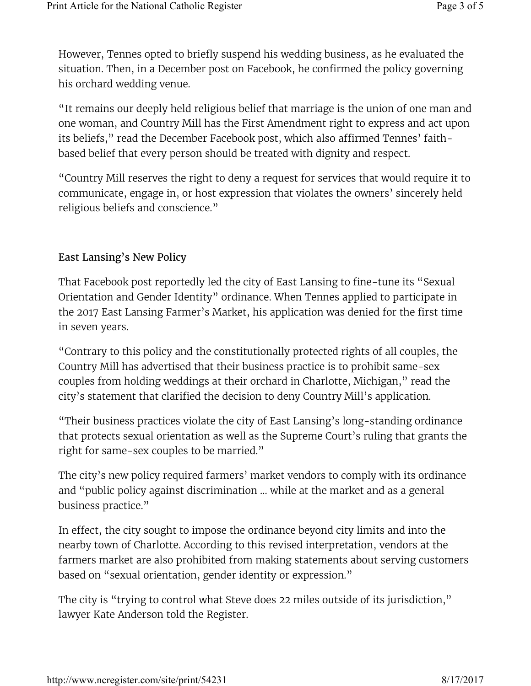However, Tennes opted to briefly suspend his wedding business, as he evaluated the situation. Then, in a December post on Facebook, he confirmed the policy governing his orchard wedding venue.

"It remains our deeply held religious belief that marriage is the union of one man and one woman, and Country Mill has the First Amendment right to express and act upon its beliefs," read the December Facebook post, which also affirmed Tennes' faithbased belief that every person should be treated with dignity and respect.

"Country Mill reserves the right to deny a request for services that would require it to communicate, engage in, or host expression that violates the owners' sincerely held religious beliefs and conscience."

## East Lansing's New Policy

That Facebook post reportedly led the city of East Lansing to fine-tune its "Sexual Orientation and Gender Identity" ordinance. When Tennes applied to participate in the 2017 East Lansing Farmer's Market, his application was denied for the first time in seven years.

"Contrary to this policy and the constitutionally protected rights of all couples, the Country Mill has advertised that their business practice is to prohibit same-sex couples from holding weddings at their orchard in Charlotte, Michigan," read the city's statement that clarified the decision to deny Country Mill's application.

"Their business practices violate the city of East Lansing's long-standing ordinance that protects sexual orientation as well as the Supreme Court's ruling that grants the right for same-sex couples to be married."

The city's new policy required farmers' market vendors to comply with its ordinance and "public policy against discrimination … while at the market and as a general business practice."

In effect, the city sought to impose the ordinance beyond city limits and into the nearby town of Charlotte. According to this revised interpretation, vendors at the farmers market are also prohibited from making statements about serving customers based on "sexual orientation, gender identity or expression."

The city is "trying to control what Steve does 22 miles outside of its jurisdiction," lawyer Kate Anderson told the Register.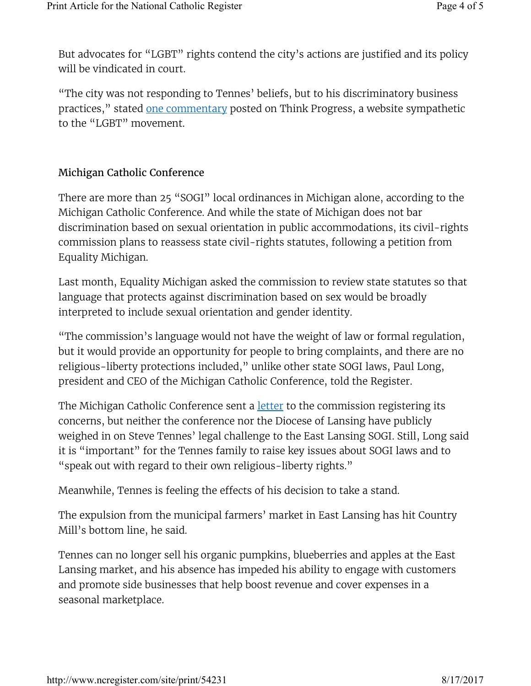But advocates for "LGBT" rights contend the city's actions are justified and its policy will be vindicated in court.

"The city was not responding to Tennes' beliefs, but to his discriminatory business practices," stated one commentary posted on Think Progress, a website sympathetic to the "LGBT" movement.

## Michigan Catholic Conference

There are more than 25 "SOGI" local ordinances in Michigan alone, according to the Michigan Catholic Conference. And while the state of Michigan does not bar discrimination based on sexual orientation in public accommodations, its civil-rights commission plans to reassess state civil-rights statutes, following a petition from Equality Michigan.

Last month, Equality Michigan asked the commission to review state statutes so that language that protects against discrimination based on sex would be broadly interpreted to include sexual orientation and gender identity.

"The commission's language would not have the weight of law or formal regulation, but it would provide an opportunity for people to bring complaints, and there are no religious-liberty protections included," unlike other state SOGI laws, Paul Long, president and CEO of the Michigan Catholic Conference, told the Register.

The Michigan Catholic Conference sent a **letter** to the commission registering its concerns, but neither the conference nor the Diocese of Lansing have publicly weighed in on Steve Tennes' legal challenge to the East Lansing SOGI. Still, Long said it is "important" for the Tennes family to raise key issues about SOGI laws and to "speak out with regard to their own religious-liberty rights."

Meanwhile, Tennes is feeling the effects of his decision to take a stand.

The expulsion from the municipal farmers' market in East Lansing has hit Country Mill's bottom line, he said.

Tennes can no longer sell his organic pumpkins, blueberries and apples at the East Lansing market, and his absence has impeded his ability to engage with customers and promote side businesses that help boost revenue and cover expenses in a seasonal marketplace.